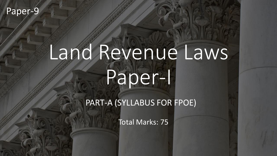#### Paper-9

# Land Revenue Laws Paper-I

PART-A (SYLLABUS FOR FPOE)

Total Marks: 75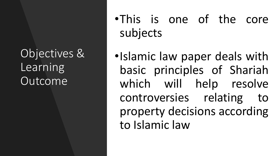Objectives & Learning Outcome

- •This is one of the core subjects
- •Islamic law paper deals with basic principles of Shariah which will help resolve controversies relating to property decisions according to Islamic law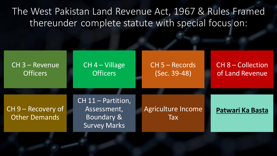### The West Pakistan Land Revenue Act, 1967 & Rules Framed thereunder complete statute with special focus on:

| CH 3 - Revenue                             | $CH 4 - Village$                                                | $CH 5 - Records$                 | <b>CH 8 - Collection</b> |
|--------------------------------------------|-----------------------------------------------------------------|----------------------------------|--------------------------|
| <b>Officers</b>                            | <b>Officers</b>                                                 | (Sec. 39-48)                     | of Land Revenue          |
| CH 9 – Recovery of<br><b>Other Demands</b> | CH 11 - Partition,<br>Assessment,<br>Boundary &<br>Survey Marks | Agriculture Income<br><b>Tax</b> | Patwari Ka Basta         |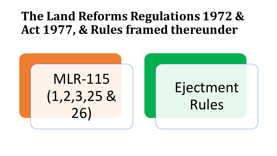# **The Land Reforms Regulations 1972 & Act 1977, & Rules framed thereunder**

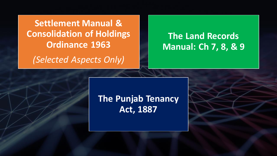**Settlement Manual & Consolidation of Holdings Ordinance 1963**

*(Selected Aspects Only)*

#### **The Land Records Manual: Ch 7, 8, & 9**

#### **The Punjab Tenancy Act, 1887**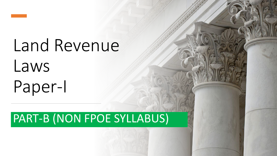

# Land Revenue Laws Paper-I

# PART-B (NON FPOE SYLLABUS)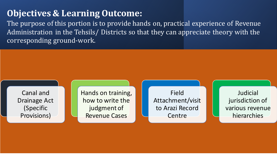#### **Objectives & Learning Outcome:**

The purpose of this portion is to provide hands on, practical experience of Revenue Administration in the Tehsils/ Districts so that they can appreciate theory with the corresponding ground-work.

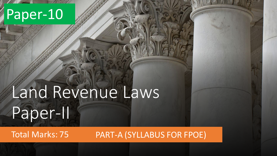# Paper-10

# Land Revenue Laws Paper-II

Total Marks: 75 PART-A (SYLLABUS FOR FPOE)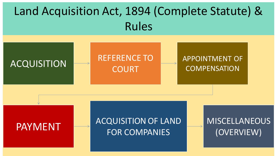# Land Acquisition Act, 1894 (Complete Statute) & Rules



PAYMENT **ACQUISITION OF LAND** FOR COMPANIES

#### MISCELLANEOUS (OVERVIEW)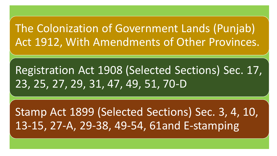## The Colonization of Government Lands (Punjab) Act 1912, With Amendments of Other Provinces.

# Registration Act 1908 (Selected Sections) Sec. 17, 23, 25, 27, 29, 31, 47, 49, 51, 70-D

Stamp Act 1899 (Selected Sections) Sec. 3, 4, 10, 13-15, 27-A, 29-38, 49-54, 61and E-stamping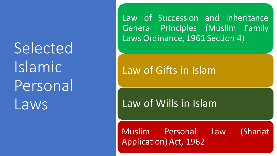Selected Islamic Personal Laws

Law of Succession and Inheritance General Principles (Muslim Family Laws Ordinance, 1961 Section 4)

## Law of Gifts in Islam

Law of Wills in Islam

Muslim Personal Law (Shariat Application) Act, 1962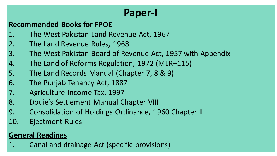## **Paper-I**

#### **Recommended Books for FPOE**

- 1. The West Pakistan Land Revenue Act, 1967
- 2. The Land Revenue Rules, 1968
- 3. The West Pakistan Board of Revenue Act, 1957 with Appendix
- 4. The Land of Reforms Regulation, 1972 (MLR–115)
- 5. The Land Records Manual (Chapter 7, 8 & 9)
- 6. The Punjab Tenancy Act, 1887
- 7. Agriculture Income Tax, 1997
- 8. Douie's Settlement Manual Chapter VIII
- 9. Consolidation of Holdings Ordinance, 1960 Chapter II
- 10. Ejectment Rules

#### **General Readings**

1. Canal and drainage Act (specific provisions)